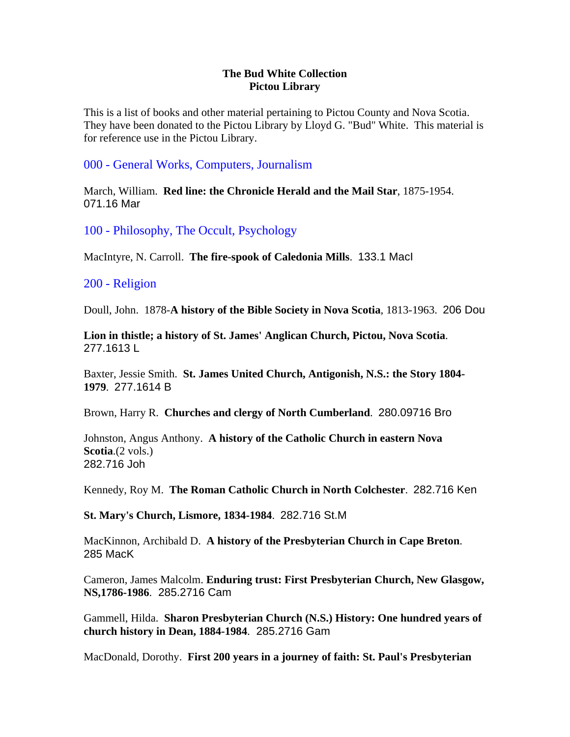### **The Bud White Collection Pictou Library**

This is a list of books and other material pertaining to Pictou County and Nova Scotia. They have been donated to the Pictou Library by Lloyd G. "Bud" White. This material is for reference use in the Pictou Library.

### 000 - General Works, Computers, Journalism

March, William. **Red line: the Chronicle Herald and the Mail Star**, 1875-1954. 071.16 Mar

100 - Philosophy, The Occult, Psychology

MacIntyre, N. Carroll. **The fire-spook of Caledonia Mills**. 133.1 MacI

### 200 - Religion

Doull, John. 1878-**A history of the Bible Society in Nova Scotia**, 1813-1963. 206 Dou

**Lion in thistle; a history of St. James' Anglican Church, Pictou, Nova Scotia**. 277.1613 L

Baxter, Jessie Smith. **St. James United Church, Antigonish, N.S.: the Story 1804- 1979**. 277.1614 B

Brown, Harry R. **Churches and clergy of North Cumberland**. 280.09716 Bro

Johnston, Angus Anthony. **A history of the Catholic Church in eastern Nova Scotia**.(2 vols.) 282.716 Joh

Kennedy, Roy M. **The Roman Catholic Church in North Colchester**. 282.716 Ken

### **St. Mary's Church, Lismore, 1834-1984**. 282.716 St.M

MacKinnon, Archibald D. **A history of the Presbyterian Church in Cape Breton**. 285 MacK

Cameron, James Malcolm. **Enduring trust: First Presbyterian Church, New Glasgow, NS,1786-1986**. 285.2716 Cam

Gammell, Hilda. **Sharon Presbyterian Church (N.S.) History: One hundred years of church history in Dean, 1884-1984**. 285.2716 Gam

MacDonald, Dorothy. **First 200 years in a journey of faith: St. Paul's Presbyterian**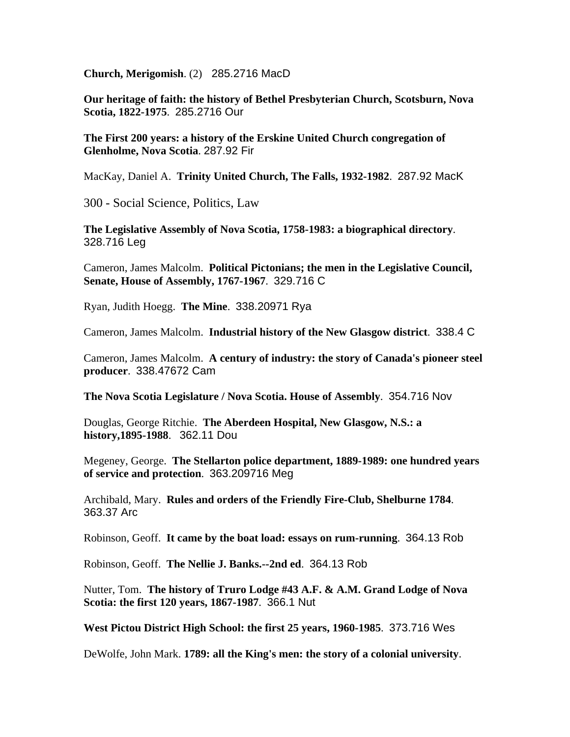**Church, Merigomish**. (2) 285.2716 MacD

**Our heritage of faith: the history of Bethel Presbyterian Church, Scotsburn, Nova Scotia, 1822-1975**. 285.2716 Our

**The First 200 years: a history of the Erskine United Church congregation of Glenholme, Nova Scotia**. 287.92 Fir

MacKay, Daniel A. **Trinity United Church, The Falls, 1932-1982**. 287.92 MacK

300 - Social Science, Politics, Law

**The Legislative Assembly of Nova Scotia, 1758-1983: a biographical directory**. 328.716 Leg

Cameron, James Malcolm. **Political Pictonians; the men in the Legislative Council, Senate, House of Assembly, 1767-1967**. 329.716 C

Ryan, Judith Hoegg. **The Mine**. 338.20971 Rya

Cameron, James Malcolm. **Industrial history of the New Glasgow district**. 338.4 C

Cameron, James Malcolm. **A century of industry: the story of Canada's pioneer steel producer**. 338.47672 Cam

**The Nova Scotia Legislature / Nova Scotia. House of Assembly**. 354.716 Nov

Douglas, George Ritchie. **The Aberdeen Hospital, New Glasgow, N.S.: a history,1895-1988**. 362.11 Dou

Megeney, George. **The Stellarton police department, 1889-1989: one hundred years of service and protection**. 363.209716 Meg

Archibald, Mary. **Rules and orders of the Friendly Fire-Club, Shelburne 1784**. 363.37 Arc

Robinson, Geoff. **It came by the boat load: essays on rum-running**. 364.13 Rob

Robinson, Geoff. **The Nellie J. Banks.--2nd ed**. 364.13 Rob

Nutter, Tom. **The history of Truro Lodge #43 A.F. & A.M. Grand Lodge of Nova Scotia: the first 120 years, 1867-1987**. 366.1 Nut

**West Pictou District High School: the first 25 years, 1960-1985**. 373.716 Wes

DeWolfe, John Mark. **1789: all the King's men: the story of a colonial university**.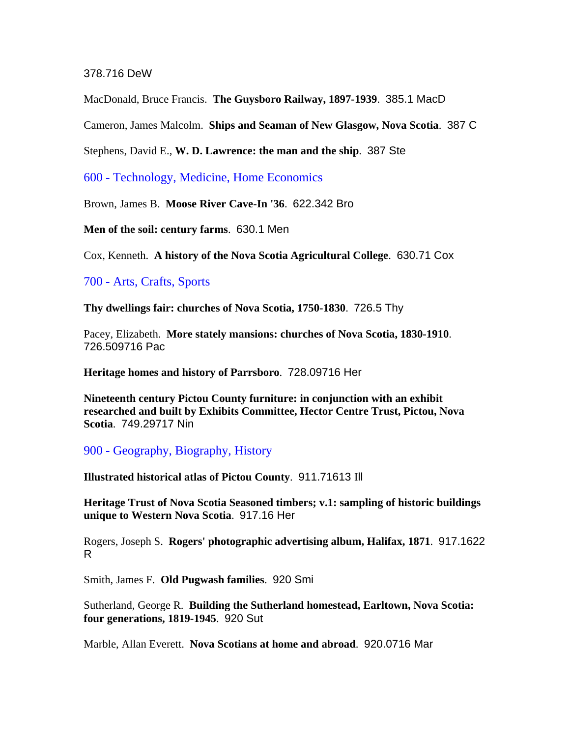#### 378.716 DeW

MacDonald, Bruce Francis. **The Guysboro Railway, 1897-1939**. 385.1 MacD

Cameron, James Malcolm. **Ships and Seaman of New Glasgow, Nova Scotia**. 387 C

Stephens, David E., **W. D. Lawrence: the man and the ship**. 387 Ste

600 - Technology, Medicine, Home Economics

Brown, James B. **Moose River Cave-In '36**. 622.342 Bro

**Men of the soil: century farms**. 630.1 Men

Cox, Kenneth. **A history of the Nova Scotia Agricultural College**. 630.71 Cox

700 - Arts, Crafts, Sports

**Thy dwellings fair: churches of Nova Scotia, 1750-1830**. 726.5 Thy

Pacey, Elizabeth. **More stately mansions: churches of Nova Scotia, 1830-1910**. 726.509716 Pac

**Heritage homes and history of Parrsboro**. 728.09716 Her

**Nineteenth century Pictou County furniture: in conjunction with an exhibit researched and built by Exhibits Committee, Hector Centre Trust, Pictou, Nova Scotia**. 749.29717 Nin

900 - Geography, Biography, History

**Illustrated historical atlas of Pictou County**. 911.71613 Ill

**Heritage Trust of Nova Scotia Seasoned timbers; v.1: sampling of historic buildings unique to Western Nova Scotia**. 917.16 Her

Rogers, Joseph S. **Rogers' photographic advertising album, Halifax, 1871**. 917.1622 R

Smith, James F. **Old Pugwash families**. 920 Smi

Sutherland, George R. **Building the Sutherland homestead, Earltown, Nova Scotia: four generations, 1819-1945**. 920 Sut

Marble, Allan Everett. **Nova Scotians at home and abroad**. 920.0716 Mar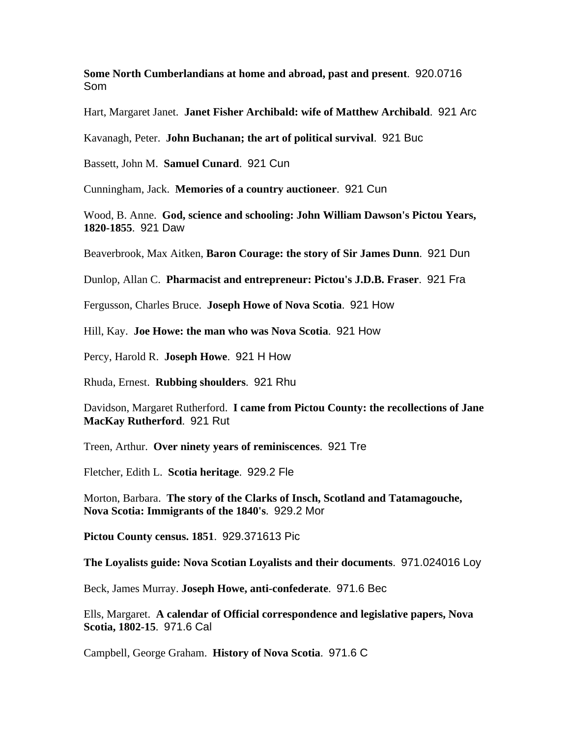**Some North Cumberlandians at home and abroad, past and present**. 920.0716 Som

Hart, Margaret Janet. **Janet Fisher Archibald: wife of Matthew Archibald**. 921 Arc

Kavanagh, Peter. **John Buchanan; the art of political survival**. 921 Buc

Bassett, John M. **Samuel Cunard**. 921 Cun

Cunningham, Jack. **Memories of a country auctioneer**. 921 Cun

Wood, B. Anne. **God, science and schooling: John William Dawson's Pictou Years, 1820-1855**. 921 Daw

Beaverbrook, Max Aitken, **Baron Courage: the story of Sir James Dunn**. 921 Dun

Dunlop, Allan C. **Pharmacist and entrepreneur: Pictou's J.D.B. Fraser**. 921 Fra

Fergusson, Charles Bruce. **Joseph Howe of Nova Scotia**. 921 How

Hill, Kay. **Joe Howe: the man who was Nova Scotia**. 921 How

Percy, Harold R. **Joseph Howe**. 921 H How

Rhuda, Ernest. **Rubbing shoulders**. 921 Rhu

Davidson, Margaret Rutherford. **I came from Pictou County: the recollections of Jane MacKay Rutherford**. 921 Rut

Treen, Arthur. **Over ninety years of reminiscences**. 921 Tre

Fletcher, Edith L. **Scotia heritage**. 929.2 Fle

Morton, Barbara. **The story of the Clarks of Insch, Scotland and Tatamagouche, Nova Scotia: Immigrants of the 1840's**. 929.2 Mor

**Pictou County census. 1851**. 929.371613 Pic

**The Loyalists guide: Nova Scotian Loyalists and their documents**. 971.024016 Loy

Beck, James Murray. **Joseph Howe, anti-confederate**. 971.6 Bec

Ells, Margaret. **A calendar of Official correspondence and legislative papers, Nova Scotia, 1802-15**. 971.6 Cal

Campbell, George Graham. **History of Nova Scotia**. 971.6 C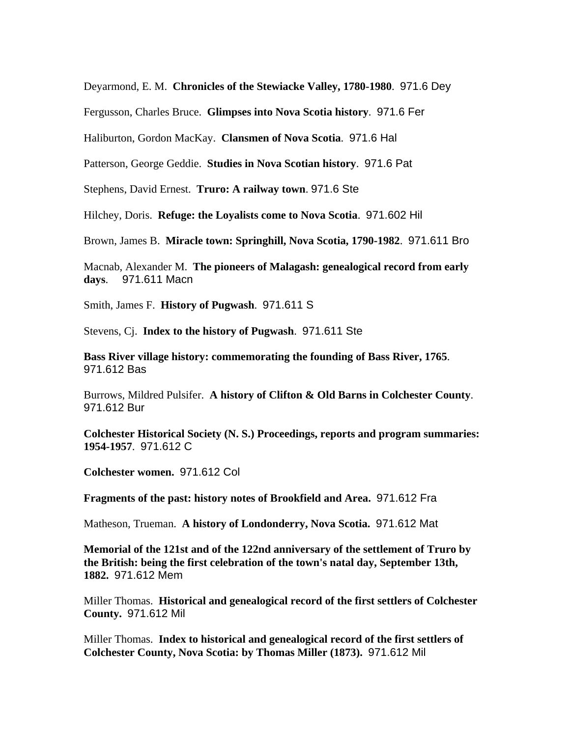Deyarmond, E. M. **Chronicles of the Stewiacke Valley, 1780-1980**. 971.6 Dey

Fergusson, Charles Bruce. **Glimpses into Nova Scotia history**. 971.6 Fer

Haliburton, Gordon MacKay. **Clansmen of Nova Scotia**. 971.6 Hal

Patterson, George Geddie. **Studies in Nova Scotian history**. 971.6 Pat

Stephens, David Ernest. **Truro: A railway town**. 971.6 Ste

Hilchey, Doris. **Refuge: the Loyalists come to Nova Scotia**. 971.602 Hil

Brown, James B. **Miracle town: Springhill, Nova Scotia, 1790-1982**. 971.611 Bro

Macnab, Alexander M. **The pioneers of Malagash: genealogical record from early days**. 971.611 Macn

Smith, James F. **History of Pugwash**. 971.611 S

Stevens, Cj. **Index to the history of Pugwash**. 971.611 Ste

**Bass River village history: commemorating the founding of Bass River, 1765**. 971.612 Bas

Burrows, Mildred Pulsifer. **A history of Clifton & Old Barns in Colchester County**. 971.612 Bur

**Colchester Historical Society (N. S.) Proceedings, reports and program summaries: 1954-1957**. 971.612 C

**Colchester women.** 971.612 Col

**Fragments of the past: history notes of Brookfield and Area.** 971.612 Fra

Matheson, Trueman. **A history of Londonderry, Nova Scotia.** 971.612 Mat

**Memorial of the 121st and of the 122nd anniversary of the settlement of Truro by the British: being the first celebration of the town's natal day, September 13th, 1882.** 971.612 Mem

Miller Thomas. **Historical and genealogical record of the first settlers of Colchester County.** 971.612 Mil

Miller Thomas. **Index to historical and genealogical record of the first settlers of Colchester County, Nova Scotia: by Thomas Miller (1873).** 971.612 Mil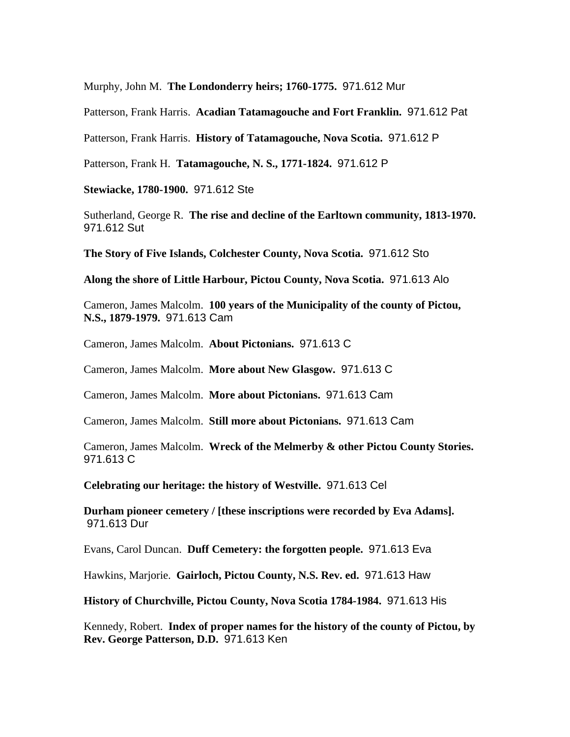Murphy, John M. **The Londonderry heirs; 1760-1775.** 971.612 Mur

Patterson, Frank Harris. **Acadian Tatamagouche and Fort Franklin.** 971.612 Pat

Patterson, Frank Harris. **History of Tatamagouche, Nova Scotia.** 971.612 P

Patterson, Frank H. **Tatamagouche, N. S., 1771-1824.** 971.612 P

**Stewiacke, 1780-1900.** 971.612 Ste

Sutherland, George R. **The rise and decline of the Earltown community, 1813-1970.**  971.612 Sut

**The Story of Five Islands, Colchester County, Nova Scotia.** 971.612 Sto

**Along the shore of Little Harbour, Pictou County, Nova Scotia.** 971.613 Alo

Cameron, James Malcolm. **100 years of the Municipality of the county of Pictou, N.S., 1879-1979.** 971.613 Cam

Cameron, James Malcolm. **About Pictonians.** 971.613 C

Cameron, James Malcolm. **More about New Glasgow.** 971.613 C

Cameron, James Malcolm. **More about Pictonians.** 971.613 Cam

Cameron, James Malcolm. **Still more about Pictonians.** 971.613 Cam

Cameron, James Malcolm. **Wreck of the Melmerby & other Pictou County Stories.**  971.613 C

**Celebrating our heritage: the history of Westville.** 971.613 Cel

**Durham pioneer cemetery / [these inscriptions were recorded by Eva Adams].**  971.613 Dur

Evans, Carol Duncan. **Duff Cemetery: the forgotten people.** 971.613 Eva

Hawkins, Marjorie. **Gairloch, Pictou County, N.S. Rev. ed.** 971.613 Haw

**History of Churchville, Pictou County, Nova Scotia 1784-1984.** 971.613 His

Kennedy, Robert. **Index of proper names for the history of the county of Pictou, by Rev. George Patterson, D.D.** 971.613 Ken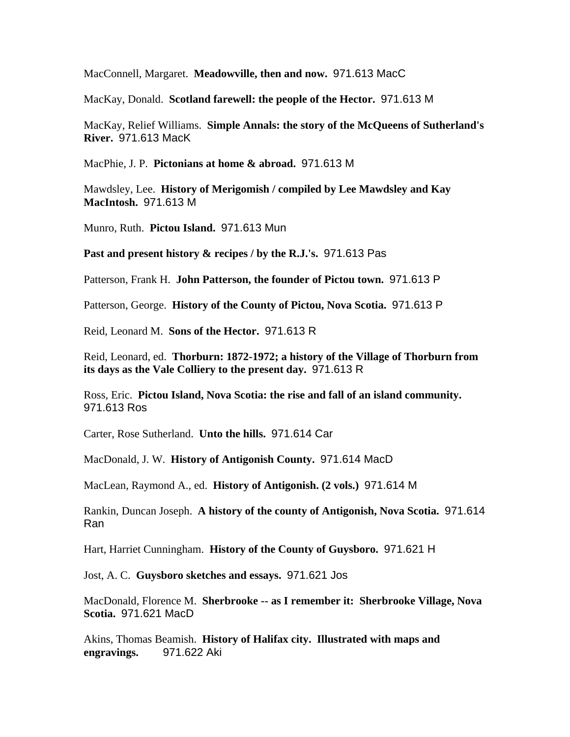MacConnell, Margaret. **Meadowville, then and now.** 971.613 MacC

MacKay, Donald. **Scotland farewell: the people of the Hector.** 971.613 M

MacKay, Relief Williams. **Simple Annals: the story of the McQueens of Sutherland's River.** 971.613 MacK

MacPhie, J. P. **Pictonians at home & abroad.** 971.613 M

Mawdsley, Lee. **History of Merigomish / compiled by Lee Mawdsley and Kay MacIntosh.** 971.613 M

Munro, Ruth. **Pictou Island.** 971.613 Mun

**Past and present history & recipes / by the R.J.'s.** 971.613 Pas

Patterson, Frank H. **John Patterson, the founder of Pictou town.** 971.613 P

Patterson, George. **History of the County of Pictou, Nova Scotia.** 971.613 P

Reid, Leonard M. **Sons of the Hector.** 971.613 R

Reid, Leonard, ed. **Thorburn: 1872-1972; a history of the Village of Thorburn from its days as the Vale Colliery to the present day.** 971.613 R

Ross, Eric. **Pictou Island, Nova Scotia: the rise and fall of an island community.**  971.613 Ros

Carter, Rose Sutherland. **Unto the hills.** 971.614 Car

MacDonald, J. W. **History of Antigonish County.** 971.614 MacD

MacLean, Raymond A., ed. **History of Antigonish. (2 vols.)** 971.614 M

Rankin, Duncan Joseph. **A history of the county of Antigonish, Nova Scotia.** 971.614 Ran

Hart, Harriet Cunningham. **History of the County of Guysboro.** 971.621 H

Jost, A. C. **Guysboro sketches and essays.** 971.621 Jos

MacDonald, Florence M. **Sherbrooke -- as I remember it: Sherbrooke Village, Nova Scotia.** 971.621 MacD

Akins, Thomas Beamish. **History of Halifax city. Illustrated with maps and engravings.** 971.622 Aki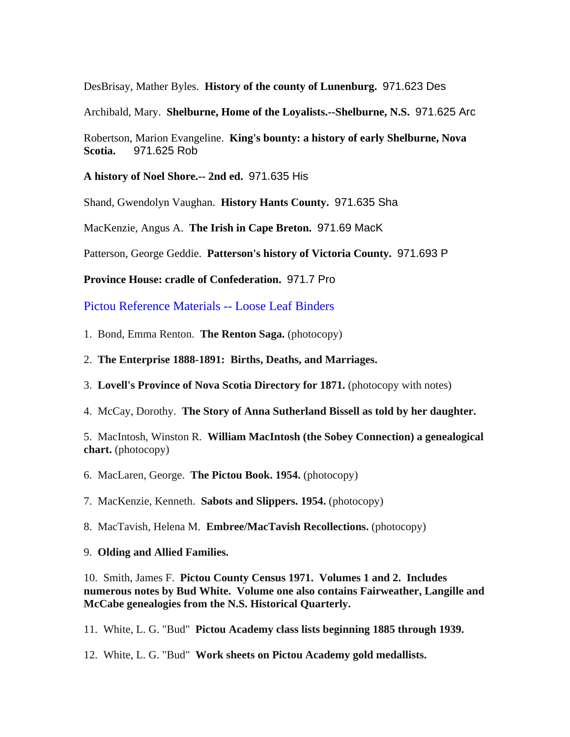DesBrisay, Mather Byles. **History of the county of Lunenburg.** 971.623 Des

Archibald, Mary. **Shelburne, Home of the Loyalists.--Shelburne, N.S.** 971.625 Arc

Robertson, Marion Evangeline. **King's bounty: a history of early Shelburne, Nova Scotia.** 971.625 Rob

**A history of Noel Shore.-- 2nd ed.** 971.635 His

Shand, Gwendolyn Vaughan. **History Hants County.** 971.635 Sha

MacKenzie, Angus A. **The Irish in Cape Breton.** 971.69 MacK

Patterson, George Geddie. **Patterson's history of Victoria County.** 971.693 P

**Province House: cradle of Confederation.** 971.7 Pro

Pictou Reference Materials -- Loose Leaf Binders

1. Bond, Emma Renton. **The Renton Saga.** (photocopy)

- 2. **The Enterprise 1888-1891: Births, Deaths, and Marriages.**
- 3. **Lovell's Province of Nova Scotia Directory for 1871.** (photocopy with notes)
- 4. McCay, Dorothy. **The Story of Anna Sutherland Bissell as told by her daughter.**

5. MacIntosh, Winston R. **William MacIntosh (the Sobey Connection) a genealogical chart.** (photocopy)

6. MacLaren, George. **The Pictou Book. 1954.** (photocopy)

7. MacKenzie, Kenneth. **Sabots and Slippers. 1954.** (photocopy)

8. MacTavish, Helena M. **Embree/MacTavish Recollections.** (photocopy)

### 9. **Olding and Allied Families.**

10. Smith, James F. **Pictou County Census 1971. Volumes 1 and 2. Includes numerous notes by Bud White. Volume one also contains Fairweather, Langille and McCabe genealogies from the N.S. Historical Quarterly.** 

11. White, L. G. "Bud" **Pictou Academy class lists beginning 1885 through 1939.** 

12. White, L. G. "Bud" **Work sheets on Pictou Academy gold medallists.**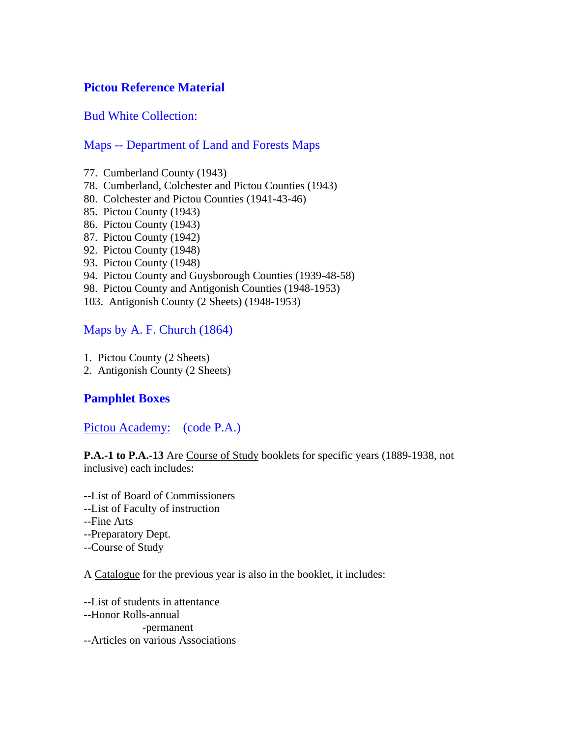## **Pictou Reference Material**

Bud White Collection:

## Maps -- Department of Land and Forests Maps

- 77. Cumberland County (1943)
- 78. Cumberland, Colchester and Pictou Counties (1943)
- 80. Colchester and Pictou Counties (1941-43-46)
- 85. Pictou County (1943)
- 86. Pictou County (1943)
- 87. Pictou County (1942)
- 92. Pictou County (1948)
- 93. Pictou County (1948)
- 94. Pictou County and Guysborough Counties (1939-48-58)
- 98. Pictou County and Antigonish Counties (1948-1953)
- 103. Antigonish County (2 Sheets) (1948-1953)

## Maps by A. F. Church (1864)

- 1. Pictou County (2 Sheets)
- 2. Antigonish County (2 Sheets)

# **Pamphlet Boxes**

Pictou Academy: (code P.A.)

**P.A.-1 to P.A.-13** Are Course of Study booklets for specific years (1889-1938, not inclusive) each includes:

- --List of Board of Commissioners
- --List of Faculty of instruction
- --Fine Arts
- --Preparatory Dept.
- --Course of Study

A Catalogue for the previous year is also in the booklet, it includes:

--List of students in attentance --Honor Rolls-annual -permanent --Articles on various Associations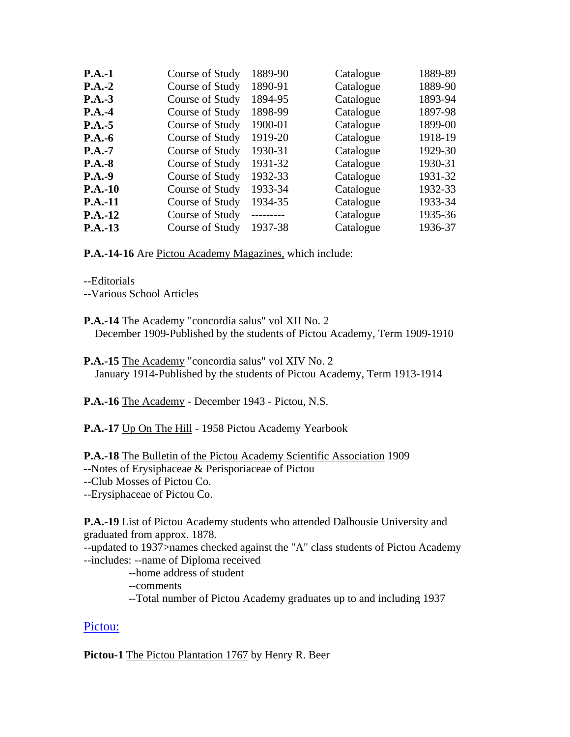| Course of Study | 1889-90    | Catalogue | 1889-89 |
|-----------------|------------|-----------|---------|
| Course of Study | 1890-91    | Catalogue | 1889-90 |
| Course of Study | 1894-95    | Catalogue | 1893-94 |
| Course of Study | 1898-99    | Catalogue | 1897-98 |
| Course of Study | 1900-01    | Catalogue | 1899-00 |
| Course of Study | 1919-20    | Catalogue | 1918-19 |
| Course of Study | 1930-31    | Catalogue | 1929-30 |
| Course of Study | 1931-32    | Catalogue | 1930-31 |
| Course of Study | 1932-33    | Catalogue | 1931-32 |
| Course of Study | 1933-34    | Catalogue | 1932-33 |
| Course of Study | 1934-35    | Catalogue | 1933-34 |
| Course of Study | ---------- | Catalogue | 1935-36 |
| Course of Study | 1937-38    | Catalogue | 1936-37 |
|                 |            |           |         |

**P.A.-14-16** Are Pictou Academy Magazines, which include:

--Editorials

--Various School Articles

- **P.A.-14** The Academy "concordia salus" vol XII No. 2 December 1909-Published by the students of Pictou Academy, Term 1909-1910
- **P.A.-15** The Academy "concordia salus" vol XIV No. 2 January 1914-Published by the students of Pictou Academy, Term 1913-1914

**P.A.-16** The Academy - December 1943 - Pictou, N.S.

P.A.-17 Up On The Hill - 1958 Pictou Academy Yearbook

**P.A.-18** The Bulletin of the Pictou Academy Scientific Association 1909 --Notes of Erysiphaceae & Perisporiaceae of Pictou --Club Mosses of Pictou Co.

--Erysiphaceae of Pictou Co.

**P.A.-19** List of Pictou Academy students who attended Dalhousie University and graduated from approx. 1878.

--updated to 1937>names checked against the "A" class students of Pictou Academy --includes: --name of Diploma received

--home address of student

--comments

--Total number of Pictou Academy graduates up to and including 1937

### Pictou:

Pictou-1 The Pictou Plantation 1767 by Henry R. Beer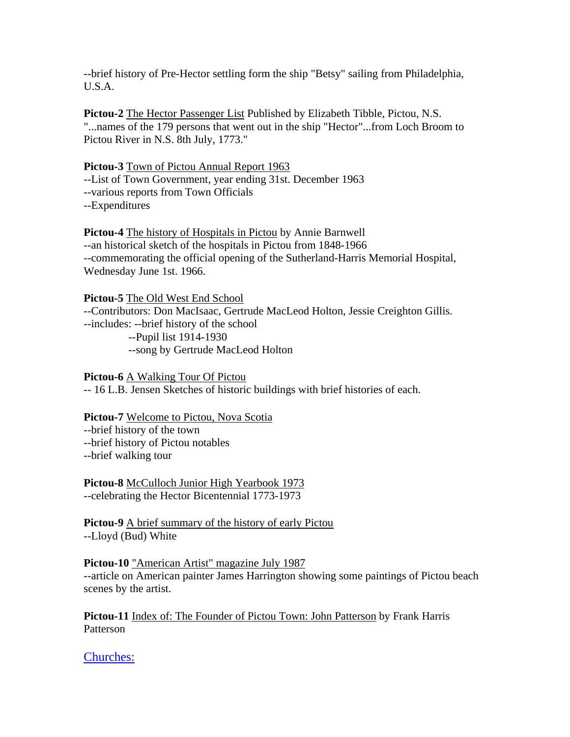--brief history of Pre-Hector settling form the ship "Betsy" sailing from Philadelphia, U.S.A.

**Pictou-2** The Hector Passenger List Published by Elizabeth Tibble, Pictou, N.S. "...names of the 179 persons that went out in the ship "Hector"...from Loch Broom to Pictou River in N.S. 8th July, 1773."

#### **Pictou-3** Town of Pictou Annual Report 1963

--List of Town Government, year ending 31st. December 1963 --various reports from Town Officials --Expenditures

**Pictou-4** The history of Hospitals in Pictou by Annie Barnwell --an historical sketch of the hospitals in Pictou from 1848-1966 --commemorating the official opening of the Sutherland-Harris Memorial Hospital, Wednesday June 1st. 1966.

**Pictou-5** The Old West End School --Contributors: Don MacIsaac, Gertrude MacLeod Holton, Jessie Creighton Gillis. --includes: --brief history of the school --Pupil list 1914-1930 --song by Gertrude MacLeod Holton

**Pictou-6** A Walking Tour Of Pictou

-- 16 L.B. Jensen Sketches of historic buildings with brief histories of each.

#### **Pictou-7** Welcome to Pictou, Nova Scotia

--brief history of the town

--brief history of Pictou notables

--brief walking tour

**Pictou-8** McCulloch Junior High Yearbook 1973 --celebrating the Hector Bicentennial 1773-1973

**Pictou-9** A brief summary of the history of early Pictou --Lloyd (Bud) White

**Pictou-10** "American Artist" magazine July 1987 --article on American painter James Harrington showing some paintings of Pictou beach scenes by the artist.

**Pictou-11** Index of: The Founder of Pictou Town: John Patterson by Frank Harris Patterson

Churches: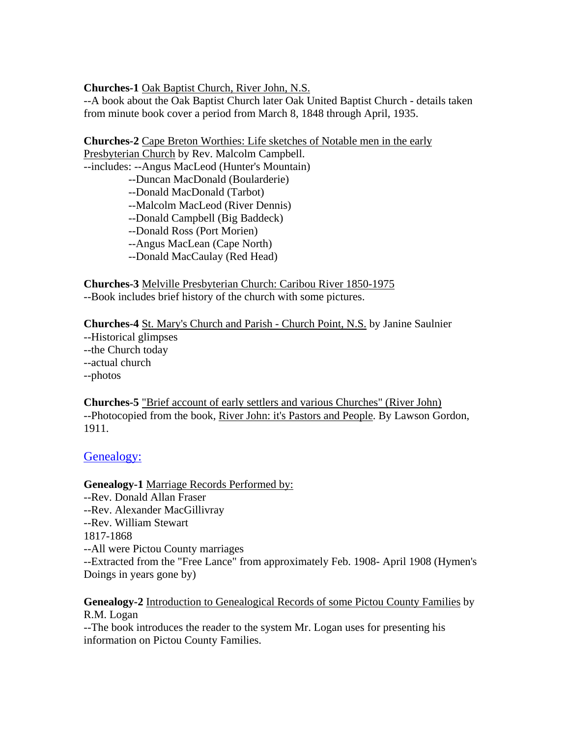### **Churches-1** Oak Baptist Church, River John, N.S.

--A book about the Oak Baptist Church later Oak United Baptist Church - details taken from minute book cover a period from March 8, 1848 through April, 1935.

**Churches-2** Cape Breton Worthies: Life sketches of Notable men in the early Presbyterian Church by Rev. Malcolm Campbell.

--includes: --Angus MacLeod (Hunter's Mountain)

- --Duncan MacDonald (Boularderie)
- --Donald MacDonald (Tarbot)
- --Malcolm MacLeod (River Dennis)
- --Donald Campbell (Big Baddeck)
- --Donald Ross (Port Morien)
- --Angus MacLean (Cape North)
- --Donald MacCaulay (Red Head)

**Churches-3** Melville Presbyterian Church: Caribou River 1850-1975 --Book includes brief history of the church with some pictures.

**Churches-4** St. Mary's Church and Parish - Church Point, N.S. by Janine Saulnier --Historical glimpses --the Church today --actual church --photos

**Churches-5** "Brief account of early settlers and various Churches" (River John) --Photocopied from the book, River John: it's Pastors and People. By Lawson Gordon, 1911.

### Genealogy:

**Genealogy-1** Marriage Records Performed by: --Rev. Donald Allan Fraser --Rev. Alexander MacGillivray --Rev. William Stewart 1817-1868 --All were Pictou County marriages --Extracted from the "Free Lance" from approximately Feb. 1908- April 1908 (Hymen's Doings in years gone by)

### **Genealogy-2** Introduction to Genealogical Records of some Pictou County Families by R.M. Logan

--The book introduces the reader to the system Mr. Logan uses for presenting his information on Pictou County Families.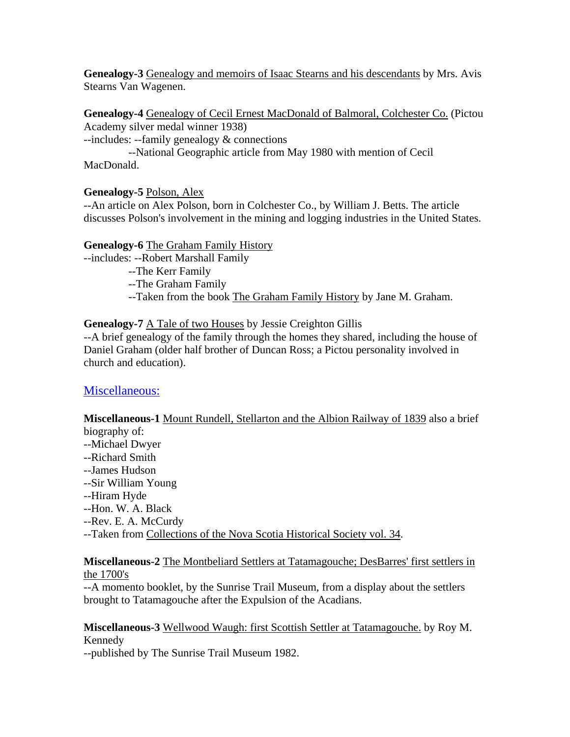**Genealogy-3** Genealogy and memoirs of Isaac Stearns and his descendants by Mrs. Avis Stearns Van Wagenen.

**Genealogy-4** Genealogy of Cecil Ernest MacDonald of Balmoral, Colchester Co. (Pictou Academy silver medal winner 1938)

--includes: --family genealogy & connections

 --National Geographic article from May 1980 with mention of Cecil MacDonald.

### **Genealogy-5** Polson, Alex

--An article on Alex Polson, born in Colchester Co., by William J. Betts. The article discusses Polson's involvement in the mining and logging industries in the United States.

## **Genealogy-6** The Graham Family History

--includes: --Robert Marshall Family

- --The Kerr Family
- --The Graham Family
- --Taken from the book The Graham Family History by Jane M. Graham.

## **Genealogy-7** A Tale of two Houses by Jessie Creighton Gillis

--A brief genealogy of the family through the homes they shared, including the house of Daniel Graham (older half brother of Duncan Ross; a Pictou personality involved in church and education).

## Miscellaneous:

#### **Miscellaneous-1** Mount Rundell, Stellarton and the Albion Railway of 1839 also a brief biography of:

- --Michael Dwyer
- --Richard Smith
- --James Hudson
- --Sir William Young
- --Hiram Hyde
- --Hon. W. A. Black
- --Rev. E. A. McCurdy
- --Taken from Collections of the Nova Scotia Historical Society vol. 34.

### **Miscellaneous-2** The Montbeliard Settlers at Tatamagouche; DesBarres' first settlers in the 1700's

--A momento booklet, by the Sunrise Trail Museum, from a display about the settlers brought to Tatamagouche after the Expulsion of the Acadians.

## **Miscellaneous-3** Wellwood Waugh: first Scottish Settler at Tatamagouche. by Roy M. Kennedy

--published by The Sunrise Trail Museum 1982.